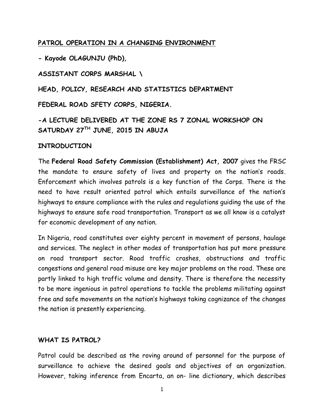### **PATROL OPERATION IN A CHANGING ENVIRONMENT**

**- Kayode OLAGUNJU (PhD),**

**ASSISTANT CORPS MARSHAL \**

**HEAD, POLICY, RESEARCH AND STATISTICS DEPARTMENT**

**FEDERAL ROAD SFETY CORPS, NIGERIA.**

**-A LECTURE DELIVERED AT THE ZONE RS 7 ZONAL WORKSHOP ON SATURDAY 27TH JUNE, 2015 IN ABUJA** 

#### **INTRODUCTION**

The **Federal Road Safety Commission (Establishment) Act, 2007** gives the FRSC the mandate to ensure safety of lives and property on the nation's roads. Enforcement which involves patrols is a key function of the Corps. There is the need to have result oriented patrol which entails surveillance of the nation's highways to ensure compliance with the rules and regulations guiding the use of the highways to ensure safe road transportation. Transport as we all know is a catalyst for economic development of any nation.

In Nigeria, road constitutes over eighty percent in movement of persons, haulage and services. The neglect in other modes of transportation has put more pressure on road transport sector. Road traffic crashes, obstructions and traffic congestions and general road misuse are key major problems on the road. These are partly linked to high traffic volume and density. There is therefore the necessity to be more ingenious in patrol operations to tackle the problems militating against free and safe movements on the nation's highways taking cognizance of the changes the nation is presently experiencing.

#### **WHAT IS PATROL?**

Patrol could be described as the roving around of personnel for the purpose of surveillance to achieve the desired goals and objectives of an organization. However, taking inference from Encarta, an on- line dictionary, which describes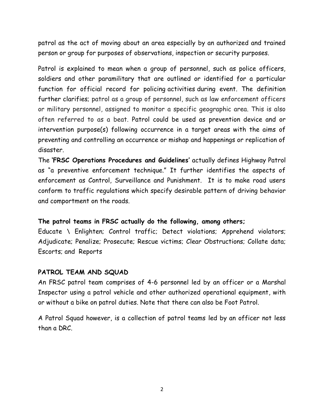patrol as the act of moving about an area especially by an authorized and trained person or group for purposes of observations, inspection or security purposes.

Patrol is explained to mean when a group of personnel, such as police officers, soldiers and other paramilitary that are outlined or identified for a particular function for official record for policing activities during event. The definition further clarifies; patrol as a group of personnel, such as law enforcement officers or military personnel, assigned to monitor a specific geographic area. This is also often referred to as a beat. Patrol could be used as prevention device and or intervention purpose(s) following occurrence in a target areas with the aims of preventing and controlling an occurrence or mishap and happenings or replication of disaster.

The **'FRSC Operations Procedures and Guidelines'** actually defines Highway Patrol as "a preventive enforcement technique." It further identifies the aspects of enforcement as Control, Surveillance and Punishment. It is to make road users conform to traffic regulations which specify desirable pattern of driving behavior and comportment on the roads.

#### **The patrol teams in FRSC actually do the following, among others;**

Educate \ Enlighten; Control traffic; Detect violations; Apprehend violators; Adjudicate; Penalize; Prosecute; Rescue victims; Clear Obstructions; Collate data; Escorts; and Reports

#### **PATROL TEAM AND SQUAD**

An FRSC patrol team comprises of 4-6 personnel led by an officer or a Marshal Inspector using a patrol vehicle and other authorized operational equipment, with or without a bike on patrol duties. Note that there can also be Foot Patrol.

A Patrol Squad however, is a collection of patrol teams led by an officer not less than a DRC.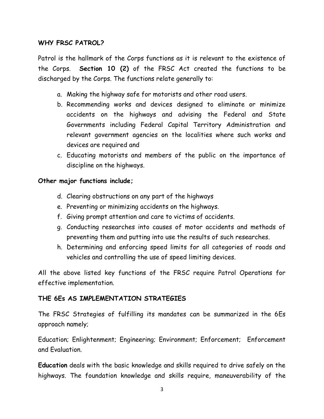### **WHY FRSC PATROL?**

Patrol is the hallmark of the Corps functions as it is relevant to the existence of the Corps. **Section 10 (2)** of the FRSC Act created the functions to be discharged by the Corps. The functions relate generally to:

- a. Making the highway safe for motorists and other road users.
- b. Recommending works and devices designed to eliminate or minimize accidents on the highways and advising the Federal and State Governments including Federal Capital Territory Administration and relevant government agencies on the localities where such works and devices are required and
- c. Educating motorists and members of the public on the importance of discipline on the highways.

#### **Other major functions include;**

- d. Clearing obstructions on any part of the highways
- e. Preventing or minimizing accidents on the highways.
- f. Giving prompt attention and care to victims of accidents.
- g. Conducting researches into causes of motor accidents and methods of preventing them and putting into use the results of such researches.
- h. Determining and enforcing speed limits for all categories of roads and vehicles and controlling the use of speed limiting devices.

All the above listed key functions of the FRSC require Patrol Operations for effective implementation.

#### **THE 6Es AS IMPLEMENTATION STRATEGIES**

The FRSC Strategies of fulfilling its mandates can be summarized in the 6Es approach namely;

Education; Enlightenment; Engineering; Environment; Enforcement; Enforcement and Evaluation.

**Education** deals with the basic knowledge and skills required to drive safely on the highways. The foundation knowledge and skills require, maneuverability of the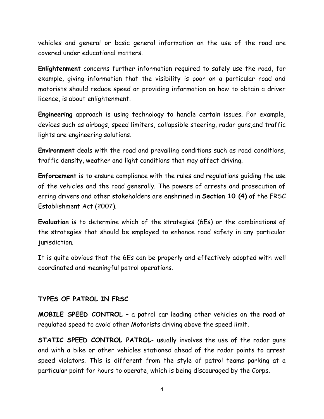vehicles and general or basic general information on the use of the road are covered under educational matters.

**Enlightenment** concerns further information required to safely use the road, for example, giving information that the visibility is poor on a particular road and motorists should reduce speed or providing information on how to obtain a driver licence, is about enlightenment.

**Engineering** approach is using technology to handle certain issues. For example, devices such as airbags, speed limiters, collapsible steering, radar guns,and traffic lights are engineering solutions.

**Environment** deals with the road and prevailing conditions such as road conditions, traffic density, weather and light conditions that may affect driving.

**Enforcement** is to ensure compliance with the rules and regulations guiding the use of the vehicles and the road generally. The powers of arrests and prosecution of erring drivers and other stakeholders are enshrined in **Section 10 (4)** of the FRSC Establishment Act (2007).

**Evaluation** is to determine which of the strategies (6Es) or the combinations of the strategies that should be employed to enhance road safety in any particular jurisdiction.

It is quite obvious that the 6Es can be properly and effectively adopted with well coordinated and meaningful patrol operations.

#### **TYPES OF PATROL IN FRSC**

**MOBILE SPEED CONTROL** – a patrol car leading other vehicles on the road at regulated speed to avoid other Motorists driving above the speed limit.

**STATIC SPEED CONTROL PATROL**- usually involves the use of the radar guns and with a bike or other vehicles stationed ahead of the radar points to arrest speed violators. This is different from the style of patrol teams parking at a particular point for hours to operate, which is being discouraged by the Corps.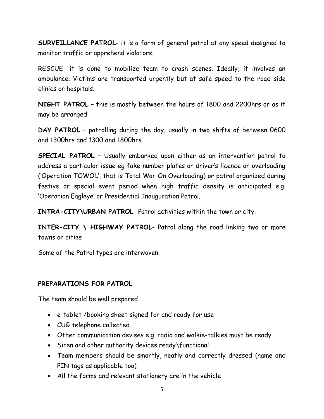**SURVEILLANCE PATROL**- it is a form of general patrol at any speed designed to monitor traffic or apprehend violators.

RESCUE- it is done to mobilize team to crash scenes. Ideally, it involves an ambulance. Victims are transported urgently but at safe speed to the road side clinics or hospitals.

**NIGHT PATROL** – this is mostly between the hours of 1800 and 2200hrs or as it may be arranged

**DAY PATROL** – patrolling during the day, usually in two shifts of between 0600 and 1300hrs and 1300 and 1800hrs

**SPECIAL PATROL** – Usually embarked upon either as an intervention patrol to address a particular issue eg fake number plates or driver's licence or overloading ('Operation TOWOL', that is Total War On Overloading) or patrol organized during festive or special event period when high traffic density is anticipated e.g. 'Operation Eagleye' or Presidential Inauguration Patrol.

**INTRA-CITY\URBAN PATROL**- Patrol activities within the town or city.

**INTER-CITY \ HIGHWAY PATROL**- Patrol along the road linking two or more towns or cities

Some of the Patrol types are interwoven.

## **PREPARATIONS FOR PATROL**

The team should be well prepared

- e-tablet /booking sheet signed for and ready for use
- CUG telephone collected
- Other communication devises e.g. radio and walkie-talkies must be ready
- Siren and other authority devices ready\functional
- Team members should be smartly, neatly and correctly dressed (name and PIN tags as applicable too)
- All the forms and relevant stationery are in the vehicle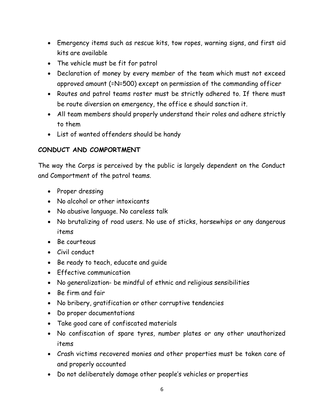- Emergency items such as rescue kits, tow ropes, warning signs, and first aid kits are available
- The vehicle must be fit for patrol
- Declaration of money by every member of the team which must not exceed approved amount (=N=500) except on permission of the commanding officer
- Routes and patrol teams roster must be strictly adhered to. If there must be route diversion on emergency, the office e should sanction it.
- All team members should properly understand their roles and adhere strictly to them
- List of wanted offenders should be handy

# **CONDUCT AND COMPORTMENT**

The way the Corps is perceived by the public is largely dependent on the Conduct and Comportment of the patrol teams.

- Proper dressing
- No alcohol or other intoxicants
- No abusive language. No careless talk
- No brutalizing of road users. No use of sticks, horsewhips or any dangerous items
- Be courteous
- Civil conduct
- Be ready to teach, educate and guide
- **Effective communication**
- No generalization- be mindful of ethnic and religious sensibilities
- Be firm and fair
- No bribery, gratification or other corruptive tendencies
- Do proper documentations
- Take good care of confiscated materials
- No confiscation of spare tyres, number plates or any other unauthorized items
- Crash victims recovered monies and other properties must be taken care of and properly accounted
- Do not deliberately damage other people's vehicles or properties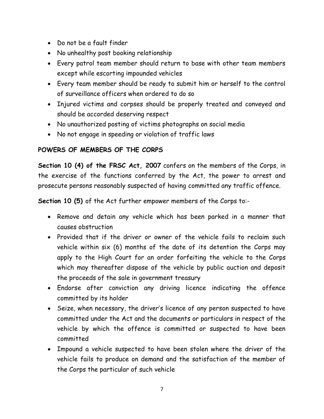- Do not be a fault finder
- No unhealthy post booking relationship
- Every patrol team member should return to base with other team members except while escorting impounded vehicles
- Every team member should be ready to submit him or herself to the control of surveillance officers when ordered to do so
- Injured victims and corpses should be properly treated and conveyed and should be accorded deserving respect
- No unauthorized posting of victims photographs on social media
- No not engage in speeding or violation of traffic laws

## **POWERS OF MEMBERS OF THE CORPS**

**Section 10 (4) of the FRSC Act, 2007** confers on the members of the Corps, in the exercise of the functions conferred by the Act, the power to arrest and prosecute persons reasonably suspected of having committed any traffic offence.

**Section 10 (5)** of the Act further empower members of the Corps to:-

- Remove and detain any vehicle which has been parked in a manner that causes obstruction
- Provided that if the driver or owner of the vehicle fails to reclaim such vehicle within six (6) months of the date of its detention the Corps may apply to the High Court for an order forfeiting the vehicle to the Corps which may thereafter dispose of the vehicle by public auction and deposit the proceeds of the sale in government treasury
- Endorse after conviction any driving licence indicating the offence committed by its holder
- Seize, when necessary, the driver's licence of any person suspected to have committed under the Act and the documents or particulars in respect of the vehicle by which the offence is committed or suspected to have been committed
- Impound a vehicle suspected to have been stolen where the driver of the vehicle fails to produce on demand and the satisfaction of the member of the Corps the particular of such vehicle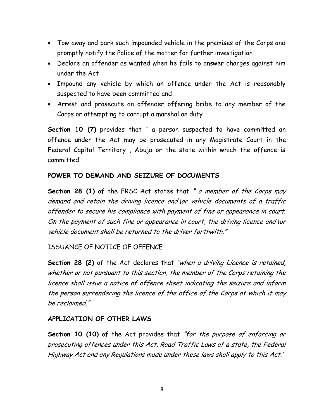- Tow away and park such impounded vehicle in the premises of the Corps and promptly notify the Police of the matter for further investigation
- Declare an offender as wanted when he fails to answer charges against him under the Act
- Impound any vehicle by which an offence under the Act is reasonably suspected to have been committed and
- Arrest and prosecute an offender offering bribe to any member of the Corps or attempting to corrupt a marshal on duty

**Section 10 (7)** provides that " a person suspected to have committed an offence under the Act may be prosecuted in any Magistrate Court in the Federal Capital Territory , Abuja or the state within which the offence is committed.

## **POWER TO DEMAND AND SEIZURE OF DOCUMENTS**

**Section 28 (1)** of the FRSC Act states that " a member of the Corps may demand and retain the driving licence and\or vehicle documents of a traffic offender to secure his compliance with payment of fine or appearance in court. On the payment of such fine or appearance in court, the driving licence and\or vehicle document shall be returned to the driver forthwith."

## ISSUANCE OF NOTICE OF OFFENCE

**Section 28 (2)** of the Act declares that "when a driving Licence is retained, whether or not pursuant to this section, the member of the Corps retaining the licence shall issue a notice of offence sheet indicating the seizure and inform the person surrendering the licence of the office of the Corps at which it may be reclaimed."

#### **APPLICATION OF OTHER LAWS**

**Section 10 (10)** of the Act provides that "for the purpose of enforcing or prosecuting offences under this Act, Road Traffic Laws of a state, the Federal Highway Act and any Regulations made under these laws shall apply to this Act.'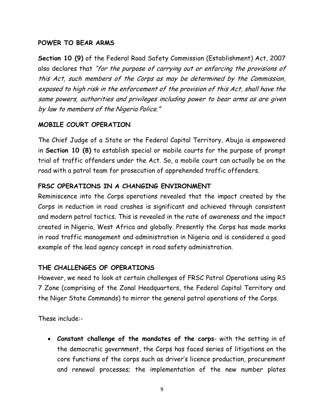#### **POWER TO BEAR ARMS**

**Section 10 (9)** of the Federal Road Safety Commission (Establishment) Act, 2007 also declares that "for the purpose of carrying out or enforcing the provisions of this Act, such members of the Corps as may be determined by the Commission, exposed to high risk in the enforcement of the provision of this Act, shall have the same powers, authorities and privileges including power to bear arms as are given by law to members of the Nigeria Police."

## **MOBILE COURT OPERATION**

The Chief Judge of a State or the Federal Capital Territory, Abuja is empowered in **Section 10 (8)** to establish special or mobile courts for the purpose of prompt trial of traffic offenders under the Act. So, a mobile court can actually be on the road with a patrol team for prosecution of apprehended traffic offenders.

## **FRSC OPERATIONS IN A CHANGING ENVIRONMENT**

Reminiscence into the Corps operations revealed that the impact created by the Corps in reduction in road crashes is significant and achieved through consistent and modern patrol tactics. This is revealed in the rate of awareness and the impact created in Nigeria, West Africa and globally. Presently the Corps has made marks in road traffic management and administration in Nigeria and is considered a good example of the lead agency concept in road safety administration.

## **THE CHALLENGES OF OPERATIONS**

However, we need to look at certain challenges of FRSC Patrol Operations using RS 7 Zone (comprising of the Zonal Headquarters, the Federal Capital Territory and the Niger State Commands) to mirror the general patrol operations of the Corps.

These include:-

 **Constant challenge of the mandates of the corps**- with the setting in of the democratic government, the Corps has faced series of litigations on the core functions of the corps such as driver's licence production, procurement and renewal processes; the implementation of the new number plates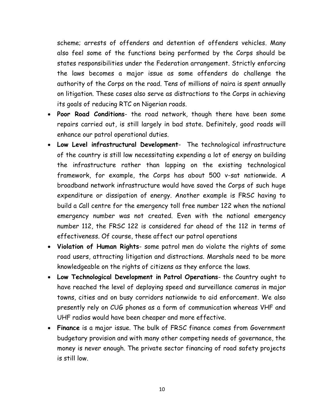scheme; arrests of offenders and detention of offenders vehicles. Many also feel some of the functions being performed by the Corps should be states responsibilities under the Federation arrangement. Strictly enforcing the laws becomes a major issue as some offenders do challenge the authority of the Corps on the road. Tens of millions of naira is spent annually on litigation. These cases also serve as distractions to the Corps in achieving its goals of reducing RTC on Nigerian roads.

- **Poor Road Conditions** the road network, though there have been some repairs carried out, is still largely in bad state. Definitely, good roads will enhance our patrol operational duties.
- **Low Level infrastructural Development** The technological infrastructure of the country is still low necessitating expending a lot of energy on building the infrastructure rather than lapping on the existing technological framework, for example, the Corps has about 500 v-sat nationwide. A broadband network infrastructure would have saved the Corps of such huge expenditure or dissipation of energy. Another example is FRSC having to build a Call centre for the emergency toll free number 122 when the national emergency number was not created. Even with the national emergency number 112, the FRSC 122 is considered far ahead of the 112 in terms of effectiveness. Of course, these affect our patrol operations
- **Violation of Human Rights** some patrol men do violate the rights of some road users, attracting litigation and distractions. Marshals need to be more knowledgeable on the rights of citizens as they enforce the laws.
- **Low Technological Development in Patrol Operations** the Country ought to have reached the level of deploying speed and surveillance cameras in major towns, cities and on busy corridors nationwide to aid enforcement. We also presently rely on CUG phones as a form of communication whereas VHF and UHF radios would have been cheaper and more effective.
- **Finance** is a major issue. The bulk of FRSC finance comes from Government budgetary provision and with many other competing needs of governance, the money is never enough. The private sector financing of road safety projects is still low.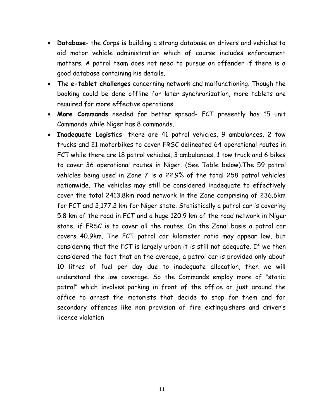- **Database** the Corps is building a strong database on drivers and vehicles to aid motor vehicle administration which of course includes enforcement matters. A patrol team does not need to pursue an offender if there is a good database containing his details.
- The **e-tablet challenges** concerning network and malfunctioning. Though the booking could be done offline for later synchronization, more tablets are required for more effective operations
- **More Commands** needed for better spread- FCT presently has 15 unit Commands while Niger has 8 commands.
- **Inadequate Logistics** there are 41 patrol vehicles, 9 ambulances, 2 tow trucks and 21 motorbikes to cover FRSC delineated 64 operational routes in FCT while there are 18 patrol vehicles, 3 ambulances, 1 tow truck and 6 bikes to cover 36 operational routes in Niger. (See Table below).The 59 patrol vehicles being used in Zone 7 is a 22.9% of the total 258 patrol vehicles nationwide. The vehicles may still be considered inadequate to effectively cover the total 2413.8km road network in the Zone comprising of 236.6km for FCT and 2,177.2 km for Niger state. Statistically a patrol car is covering 5.8 km of the road in FCT and a huge 120.9 km of the road network in Niger state, if FRSC is to cover all the routes. On the Zonal basis a patrol car covers 40.9km. The FCT patrol car kilometer ratio may appear low, but considering that the FCT is largely urban it is still not adequate. If we then considered the fact that on the average, a patrol car is provided only about 10 litres of fuel per day due to inadequate allocation, then we will understand the low coverage. So the Commands employ more of "static patrol" which involves parking in front of the office or just around the office to arrest the motorists that decide to stop for them and for secondary offences like non provision of fire extinguishers and driver's licence violation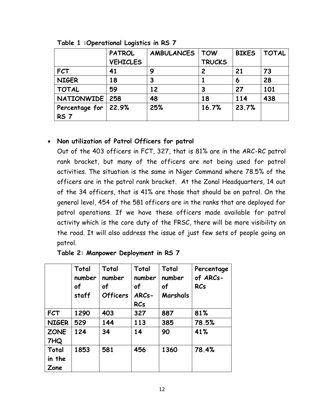|                  | <b>PATROL</b>   | <b>AMBULANCES</b> | <b>TOW</b>    | <b>BIKES</b> | <b>TOTAL</b> |
|------------------|-----------------|-------------------|---------------|--------------|--------------|
|                  | <b>VEHICLES</b> |                   | <b>TRUCKS</b> |              |              |
| <b>FCT</b>       | 41              | 9                 | 2             | 21           | 73           |
| <b>NIGER</b>     | 18              | З                 |               | 6            | 28           |
| <b>TOTAL</b>     | 59              | 12                | 3             | 27           | 101          |
| NATIONWIDE   258 |                 | 48                | 18            | 114          | 438          |
| Percentage for   | 22.9%           | 25%               | 16.7%         | 23.7%        |              |
| <b>RS 7</b>      |                 |                   |               |              |              |

**Table 1 :Operational Logistics in RS 7**

## **Non utilization of Patrol Officers for patrol**

Out of the 403 officers in FCT, 327, that is 81% are in the ARC-RC patrol rank bracket, but many of the officers are not being used for patrol activities. The situation is the same in Niger Command where 78.5% of the officers are in the patrol rank bracket. At the Zonal Headquarters, 14 out of the 34 officers, that is 41% are those that should be on patrol. On the general level, 454 of the 581 officers are in the ranks that are deployed for patrol operations. If we have these officers made available for patrol activity which is the core duty of the FRSC, there will be more visibility on the road. It will also address the issue of just few sets of people going on patrol.

|              | Total<br>number<br>of<br>staff | Total<br>number<br>of<br><b>Officers</b> | Total<br>number<br>of<br>ARCs-<br><b>RCs</b> | Total<br>number<br>of<br>Marshals | Percentage<br>of ARCs-<br><b>RCs</b> |
|--------------|--------------------------------|------------------------------------------|----------------------------------------------|-----------------------------------|--------------------------------------|
| <b>FCT</b>   | 1290                           | 403                                      | 327                                          | 887                               | 81%                                  |
| <b>NIGER</b> | 529                            | 144                                      | 113                                          | 385                               | 78.5%                                |
| <b>ZONE</b>  | 124                            | 34                                       | 14                                           | 90                                | 41%                                  |
| 7HQ          |                                |                                          |                                              |                                   |                                      |
| Total        | 1853                           | 581                                      | 456                                          | 1360                              | 78.4%                                |
| in the       |                                |                                          |                                              |                                   |                                      |
| Zone         |                                |                                          |                                              |                                   |                                      |

|  | Table 2: Manpower Deployment in RS 7 |  |  |
|--|--------------------------------------|--|--|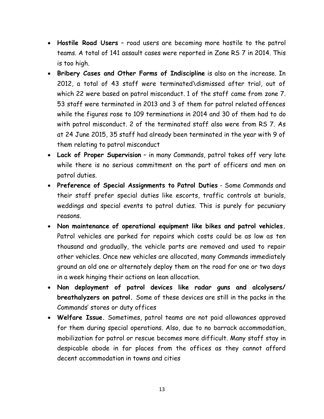- **Hostile Road Users** road users are becoming more hostile to the patrol teams. A total of 141 assault cases were reported in Zone RS 7 in 2014. This is too high.
- **Bribery Cases and Other Forms of Indiscipline** is also on the increase. In 2012, a total of 43 staff were terminated\dismissed after trial, out of which 22 were based on patrol misconduct. 1 of the staff came from zone 7. 53 staff were terminated in 2013 and 3 of them for patrol related offences while the figures rose to 109 terminations in 2014 and 30 of them had to do with patrol misconduct. 2 of the terminated staff also were from RS 7. As at 24 June 2015, 35 staff had already been terminated in the year with 9 of them relating to patrol misconduct
- **Lack of Proper Supervision** in many Commands, patrol takes off very late while there is no serious commitment on the part of officers and men on patrol duties.
- **Preference of Special Assignments to Patrol Duties** Some Commands and their staff prefer special duties like escorts, traffic controls at burials, weddings and special events to patrol duties. This is purely for pecuniary reasons.
- **Non maintenance of operational equipment like bikes and patrol vehicles.** Patrol vehicles are parked for repairs which costs could be as low as ten thousand and gradually, the vehicle parts are removed and used to repair other vehicles. Once new vehicles are allocated, many Commands immediately ground an old one or alternately deploy them on the road for one or two days in a week hinging their actions on lean allocation.
- **Non deployment of patrol devices like radar guns and alcolysers/ breathalyzers on patrol.** Some of these devices are still in the packs in the Commands' stores or duty offices
- **Welfare Issue.** Sometimes, patrol teams are not paid allowances approved for them during special operations. Also, due to no barrack accommodation, mobilization for patrol or rescue becomes more difficult. Many staff stay in despicable abode in far places from the offices as they cannot afford decent accommodation in towns and cities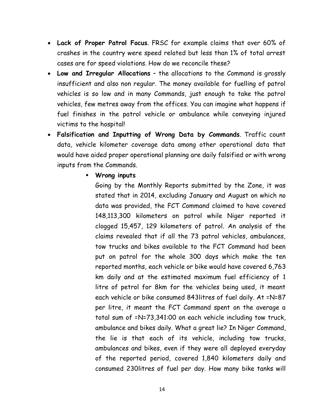- **Lack of Proper Patrol Focus**. FRSC for example claims that over 60% of crashes in the country were speed related but less than 1% of total arrest cases are for speed violations. How do we reconcile these?
- **Low and Irregular Allocations** the allocations to the Command is grossly insufficient and also non regular. The money available for fuelling of patrol vehicles is so low and in many Commands, just enough to take the patrol vehicles, few metres away from the offices. You can imagine what happens if fuel finishes in the patrol vehicle or ambulance while conveying injured victims to the hospital!
- **Falsification and Inputting of Wrong Data by Commands**. Traffic count data, vehicle kilometer coverage data among other operational data that would have aided proper operational planning are daily falsified or with wrong inputs from the Commands.

#### **Wrong inputs**

Going by the Monthly Reports submitted by the Zone, it was stated that in 2014, excluding January and August on which no data was provided, the FCT Command claimed to have covered 148,113,300 kilometers on patrol while Niger reported it clogged 15,457, 129 kilometers of patrol. An analysis of the claims revealed that if all the 73 patrol vehicles, ambulances, tow trucks and bikes available to the FCT Command had been put on patrol for the whole 300 days which make the ten reported months, each vehicle or bike would have covered 6,763 km daily and at the estimated maximum fuel efficiency of 1 litre of petrol for 8km for the vehicles being used, it meant each vehicle or bike consumed 843litres of fuel daily. At =N=87 per litre, it meant the FCT Command spent on the average a total sum of =N=73,341:00 on each vehicle including tow truck, ambulance and bikes daily. What a great lie? In Niger Command, the lie is that each of its vehicle, including tow trucks, ambulances and bikes, even if they were all deployed everyday of the reported period, covered 1,840 kilometers daily and consumed 230litres of fuel per day. How many bike tanks will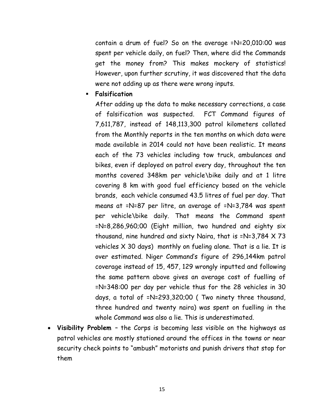contain a drum of fuel? So on the average =N=20,010:00 was spent per vehicle daily, on fuel? Then, where did the Commands get the money from? This makes mockery of statistics! However, upon further scrutiny, it was discovered that the data were not adding up as there were wrong inputs.

#### **Falsification**

After adding up the data to make necessary corrections, a case of falsification was suspected. FCT Command figures of 7,611,787, instead of 148,113,300 patrol kilometers collated from the Monthly reports in the ten months on which data were made available in 2014 could not have been realistic. It means each of the 73 vehicles including tow truck, ambulances and bikes, even if deployed on patrol every day, throughout the ten months covered 348km per vehicle\bike daily and at 1 litre covering 8 km with good fuel efficiency based on the vehicle brands, each vehicle consumed 43.5 litres of fuel per day. That means at =N=87 per litre, an average of =N=3,784 was spent per vehicle\bike daily. That means the Command spent =N=8,286,960;00 (Eight million, two hundred and eighty six thousand, nine hundred and sixty Naira, that is =N=3,784 X 73 vehicles X 30 days) monthly on fueling alone. That is a lie. It is over estimated. Niger Command's figure of 296,144km patrol coverage instead of 15, 457, 129 wrongly inputted and following the same pattern above gives an average cost of fuelling of =N=348:00 per day per vehicle thus for the 28 vehicles in 30 days, a total of =N=293,320;00 ( Two ninety three thousand, three hundred and twenty naira) was spent on fuelling in the whole Command was also a lie. This is underestimated.

 **Visibility Problem** – the Corps is becoming less visible on the highways as patrol vehicles are mostly stationed around the offices in the towns or near security check points to "ambush" motorists and punish drivers that stop for them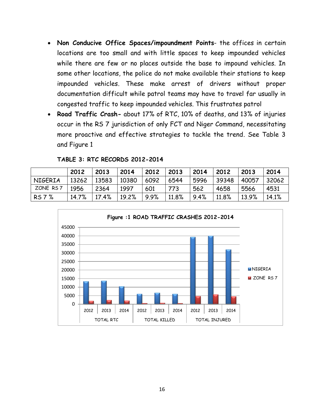- **Non Conducive Office Spaces/impoundment Points** the offices in certain locations are too small and with little spaces to keep impounded vehicles while there are few or no places outside the base to impound vehicles. In some other locations, the police do not make available their stations to keep impounded vehicles. These make arrest of drivers without proper documentation difficult while patrol teams may have to travel far usually in congested traffic to keep impounded vehicles. This frustrates patrol
- **Road Traffic Crash-** about 17% of RTC, 10% of deaths, and 13% of injuries occur in the RS 7 jurisdiction of only FCT and Niger Command, necessitating more proactive and effective strategies to tackle the trend. See Table 3 and Figure 1

|          | 2012  | 2013  | 2014  | 2012 | 2013  | 2014 | 2012  | 2013  | 2014  |
|----------|-------|-------|-------|------|-------|------|-------|-------|-------|
| NIGERIA  | 13262 | 13583 | 10380 | 6092 | 6544  | 5996 | 39348 | 40057 | 32062 |
| ZONE RS7 | 1956  | 2364  | 1997  | 601  | 773   | 562  | 4658  | 5566  | 4531  |
| RS 7 %   | 14.7% | 17.4% | 19.2% | 9.9% | 11.8% | 9.4% | 11.8% | 13.9% | 14.1% |

**TABLE 3: RTC RECORDS 2012-2014**

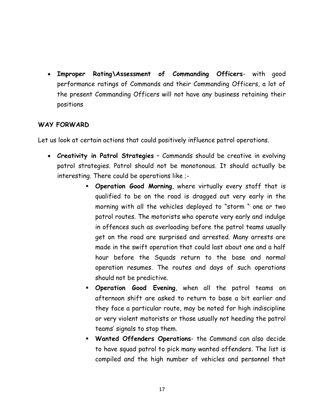**Improper Rating\Assessment of Commanding Officers**- with good performance ratings of Commands and their Commanding Officers, a lot of the present Commanding Officers will not have any business retaining their positions

### **WAY FORWARD**

Let us look at certain actions that could positively influence patrol operations.

- **Creativity in Patrol Strategies** Commands should be creative in evolving patrol strategies. Patrol should not be monotonous. It should actually be interesting. There could be operations like ;-
	- **Operation Good Morning**, where virtually every staff that is qualified to be on the road is dragged out very early in the morning with all the vehicles deployed to "storm " one or two patrol routes. The motorists who operate very early and indulge in offences such as overloading before the patrol teams usually get on the road are surprised and arrested. Many arrests are made in the swift operation that could last about one and a half hour before the Squads return to the base and normal operation resumes. The routes and days of such operations should not be predictive.
	- **Operation Good Evening**, when all the patrol teams on afternoon shift are asked to return to base a bit earlier and they face a particular route, may be noted for high indiscipline or very violent motorists or those usually not heeding the patrol teams' signals to stop them.
	- **Wanted Offenders Operations** the Command can also decide to have squad patrol to pick many wanted offenders. The list is compiled and the high number of vehicles and personnel that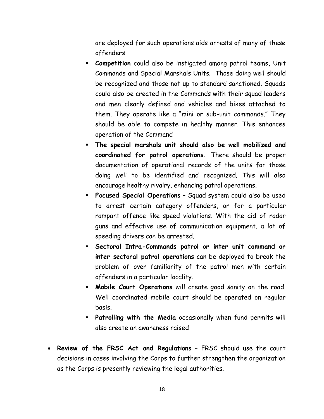are deployed for such operations aids arrests of many of these offenders

- **Competition** could also be instigated among patrol teams, Unit Commands and Special Marshals Units. Those doing well should be recognized and those not up to standard sanctioned. Squads could also be created in the Commands with their squad leaders and men clearly defined and vehicles and bikes attached to them. They operate like a "mini or sub-unit commands." They should be able to compete in healthy manner. This enhances operation of the Command
- **The special marshals unit should also be well mobilized and coordinated for patrol operations.** There should be proper documentation of operational records of the units for those doing well to be identified and recognized. This will also encourage healthy rivalry, enhancing patrol operations.
- **Focused Special Operations** Squad system could also be used to arrest certain category offenders, or for a particular rampant offence like speed violations. With the aid of radar guns and effective use of communication equipment, a lot of speeding drivers can be arrested.
- **Sectoral Intra-Commands patrol or inter unit command or inter sectoral patrol operations** can be deployed to break the problem of over familiarity of the patrol men with certain offenders in a particular locality.
- **Mobile Court Operations** will create good sanity on the road. Well coordinated mobile court should be operated on regular basis.
- **Patrolling with the Media** occasionally when fund permits will also create an awareness raised
- **Review of the FRSC Act and Regulations** FRSC should use the court decisions in cases involving the Corps to further strengthen the organization as the Corps is presently reviewing the legal authorities.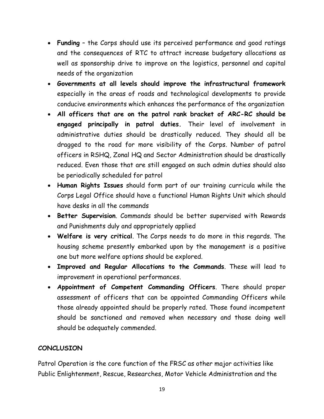- **Funding** the Corps should use its perceived performance and good ratings and the consequences of RTC to attract increase budgetary allocations as well as sponsorship drive to improve on the logistics, personnel and capital needs of the organization
- **Governments at all levels should improve the infrastructural framework** especially in the areas of roads and technological developments to provide conducive environments which enhances the performance of the organization
- **All officers that are on the patrol rank bracket of ARC-RC should be engaged principally in patrol duties.** Their level of involvement in administrative duties should be drastically reduced. They should all be dragged to the road for more visibility of the Corps. Number of patrol officers in RSHQ, Zonal HQ and Sector Administration should be drastically reduced. Even those that are still engaged on such admin duties should also be periodically scheduled for patrol
- **Human Rights Issues** should form part of our training curricula while the Corps Legal Office should have a functional Human Rights Unit which should have desks in all the commands
- **Better Supervision**. Commands should be better supervised with Rewards and Punishments duly and appropriately applied
- **Welfare is very critical**. The Corps needs to do more in this regards. The housing scheme presently embarked upon by the management is a positive one but more welfare options should be explored.
- **Improved and Regular Allocations to the Commands**. These will lead to improvement in operational performances.
- **Appointment of Competent Commanding Officers**. There should proper assessment of officers that can be appointed Commanding Officers while those already appointed should be properly rated. Those found incompetent should be sanctioned and removed when necessary and those doing well should be adequately commended.

# **CONCLUSION**

Patrol Operation is the core function of the FRSC as other major activities like Public Enlightenment, Rescue, Researches, Motor Vehicle Administration and the